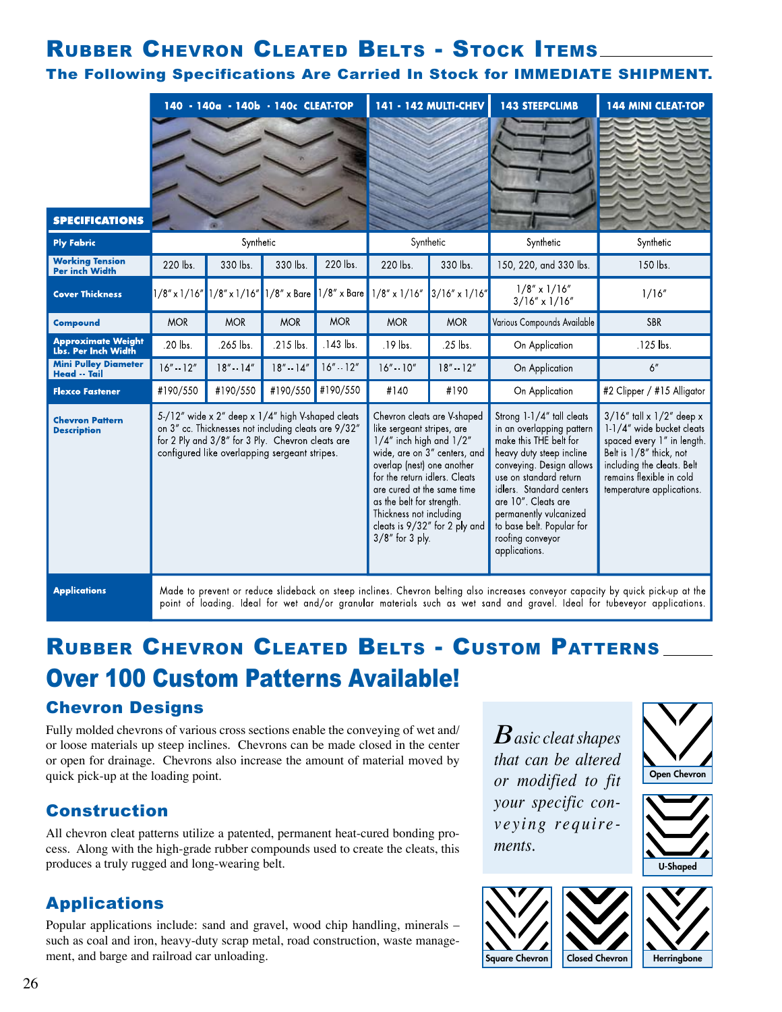## **RUBBER CHEVRON CLEATED BELTS - STOCK ITEMS**

### The Following Specifications Are Carried In Stock for IMMEDIATE SHIPMENT.

|                                                    | 140 - 140a - 140b - 140c CLEAT-TOP                                                                                                                                                                            |                                       |                | 141 - 142 MULTI-CHEV                                                                                                                                                                                                                                                                                                                     |                                      | <b>143 STEEPCLIMB</b>                                                                                                                                                                                                                                                                                             | <b>144 MINI CLEAT-TOP</b>                                                                                                                                                                                   |                            |
|----------------------------------------------------|---------------------------------------------------------------------------------------------------------------------------------------------------------------------------------------------------------------|---------------------------------------|----------------|------------------------------------------------------------------------------------------------------------------------------------------------------------------------------------------------------------------------------------------------------------------------------------------------------------------------------------------|--------------------------------------|-------------------------------------------------------------------------------------------------------------------------------------------------------------------------------------------------------------------------------------------------------------------------------------------------------------------|-------------------------------------------------------------------------------------------------------------------------------------------------------------------------------------------------------------|----------------------------|
|                                                    |                                                                                                                                                                                                               |                                       |                |                                                                                                                                                                                                                                                                                                                                          |                                      |                                                                                                                                                                                                                                                                                                                   |                                                                                                                                                                                                             |                            |
| <b>SPECIFICATIONS</b>                              | Synthetic                                                                                                                                                                                                     |                                       | Synthetic      |                                                                                                                                                                                                                                                                                                                                          | Synthetic                            | Synthetic                                                                                                                                                                                                                                                                                                         |                                                                                                                                                                                                             |                            |
| <b>Ply Fabric</b><br><b>Working Tension</b>        | 220 lbs.                                                                                                                                                                                                      | 330 lbs.                              | 330 lbs.       | 220 lbs.                                                                                                                                                                                                                                                                                                                                 | 220 lbs.                             | 330 lbs.                                                                                                                                                                                                                                                                                                          | 150, 220, and 330 lbs.                                                                                                                                                                                      | 150 lbs.                   |
| Per inch Width<br><b>Cover Thickness</b>           |                                                                                                                                                                                                               | $1/8$ " x $1/16$ " $1/8$ " x $1/16$ " |                |                                                                                                                                                                                                                                                                                                                                          | 1/8" x Bare 1/8" x Bare 1/8" x 1/16" | $3/16'' \times 1/16''$                                                                                                                                                                                                                                                                                            | $1/8'' \times 1/16''$<br>$3/16'' \times 1/16''$                                                                                                                                                             | 1/16''                     |
| <b>Compound</b>                                    | <b>MOR</b>                                                                                                                                                                                                    | <b>MOR</b>                            | <b>MOR</b>     | <b>MOR</b>                                                                                                                                                                                                                                                                                                                               | <b>MOR</b>                           | <b>MOR</b>                                                                                                                                                                                                                                                                                                        | Various Compounds Available                                                                                                                                                                                 | <b>SBR</b>                 |
| <b>Approximate Weight</b><br>Lbs. Per Inch Width   | .20 lbs.                                                                                                                                                                                                      | .265 lbs.                             | .215 lbs.      | $.143$ lbs.                                                                                                                                                                                                                                                                                                                              | $.19$ lbs.                           | .25 lbs.                                                                                                                                                                                                                                                                                                          | On Application                                                                                                                                                                                              | .125 lbs.                  |
| <b>Mini Pulley Diameter</b><br><b>Head -- Tail</b> | $16'' - 12''$                                                                                                                                                                                                 | $18'' - 14''$                         | $18'' - 14''$  | $16'' - 12''$                                                                                                                                                                                                                                                                                                                            | $16" - 10"$                          | $18'' - 12''$                                                                                                                                                                                                                                                                                                     | On Application                                                                                                                                                                                              | 6"                         |
| <b>Flexco Fastener</b>                             | #190/550                                                                                                                                                                                                      | #190/550                              | #190/550       | #190/550                                                                                                                                                                                                                                                                                                                                 | #140                                 | #190                                                                                                                                                                                                                                                                                                              | On Application                                                                                                                                                                                              | #2 Clipper / #15 Alligator |
| <b>Chevron Pattern</b><br><b>Description</b>       | 5/12" wide x 2" deep x 1/4" high V-shaped cleats<br>on 3" cc. Thicknesses not including cleats are 9/32"<br>for 2 Ply and 3/8" for 3 Ply. Chevron cleats are<br>configured like overlapping sergeant stripes. |                                       |                | Chevron cleats are V shaped<br>like sergeant stripes, are<br>$1/4''$ inch high and $1/2''$<br>wide, are on 3" centers, and<br>overlap (nest) one another<br>for the return idlers. Cleats<br>are cured at the same time<br>as the belt for strength.<br>Thickness not including<br>cleats is 9/32" for 2 ply and<br>$3/8$ " for $3$ ply. |                                      | Strong 1-1/4" tall cleats<br>in an overlapping pattern<br>make this THE belt for<br>heavy duty steep incline<br>conveying. Design allows<br>use on standard return<br>idlers. Standard centers<br>are 10". Cleats are<br>permanently vulcanized<br>to base belt. Popular for<br>roofing conveyor<br>applications. | $3/16''$ tall x $1/2''$ deep x<br>1-1/4" wide bucket cleats<br>spaced every 1" in length.<br>Belt is 1/8" thick, not<br>including the cleats. Belt<br>remains flexible in cold<br>temperature applications. |                            |
|                                                    |                                                                                                                                                                                                               |                                       | alt de la cala |                                                                                                                                                                                                                                                                                                                                          | $\cap$                               |                                                                                                                                                                                                                                                                                                                   |                                                                                                                                                                                                             |                            |

Made to prevent or reduce slideback on steep inclines. Chevron belting also increases conveyor capacity by quick pick-up at the point of loading. Ideal for wet and/or granular materials such as wet sand and gravel. Ideal for tubeveyor applications.

# **RUBBER CHEVRON CLEATED BELTS - CUSTOM PATTERNS Over 100 Custom Patterns Available!**

## **Chevron Designs**

Fully molded chevrons of various cross sections enable the conveying of wet and/ or loose materials up steep inclines. Chevrons can be made closed in the center or open for drainage. Chevrons also increase the amount of material moved by quick pick-up at the loading point.

## **Construction**

All chevron cleat patterns utilize a patented, permanent heat-cured bonding process. Along with the high-grade rubber compounds used to create the cleats, this produces a truly rugged and long-wearing belt.

## **Applications**

Popular applications include: sand and gravel, wood chip handling, minerals such as coal and iron, heavy-duty scrap metal, road construction, waste management, and barge and railroad car unloading.

 $B$  asic cleat shapes that can be altered or modified to fit your specific conveying requirements.